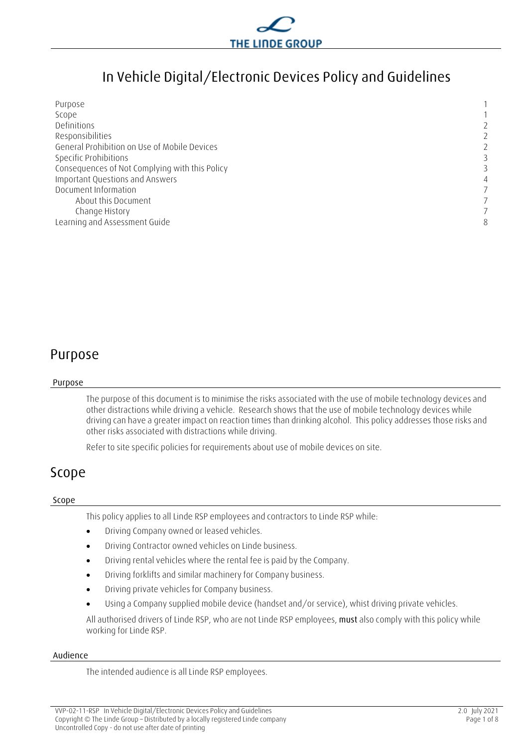

## **In Vehicle Digital/Electronic Devices Policy and Guidelines**

| Purpose                                        |   |
|------------------------------------------------|---|
|                                                |   |
| Scope                                          |   |
| Definitions                                    | 2 |
| Responsibilities                               | 2 |
| General Prohibition on Use of Mobile Devices   | 2 |
| Specific Prohibitions                          |   |
| Consequences of Not Complying with this Policy |   |
| Important Questions and Answers                | 4 |
| Document Information                           |   |
| About this Document                            |   |
| Change History                                 |   |
| Learning and Assessment Guide                  | 8 |

## <span id="page-0-0"></span>**Purpose**

#### **Purpose**

The purpose of this document is to minimise the risks associated with the use of mobile technology devices and other distractions while driving a vehicle. Research shows that the use of mobile technology devices while driving can have a greater impact on reaction times than drinking alcohol. This policy addresses those risks and other risks associated with distractions while driving.

Refer to site specific policies for requirements about use of mobile devices on site.

### <span id="page-0-1"></span>**Scope**

#### **Scope**

This policy applies to all Linde RSP employees and contractors to Linde RSP while:

- Driving Company owned or leased vehicles.
- Driving Contractor owned vehicles on Linde business.
- Driving rental vehicles where the rental fee is paid by the Company.
- Driving forklifts and similar machinery for Company business.
- Driving private vehicles for Company business.
- Using a Company supplied mobile device (handset and/or service), whist driving private vehicles.

All authorised drivers of Linde RSP, who are not Linde RSP employees, **must** also comply with this policy while working for Linde RSP.

#### **Audience**

The intended audience is all Linde RSP employees.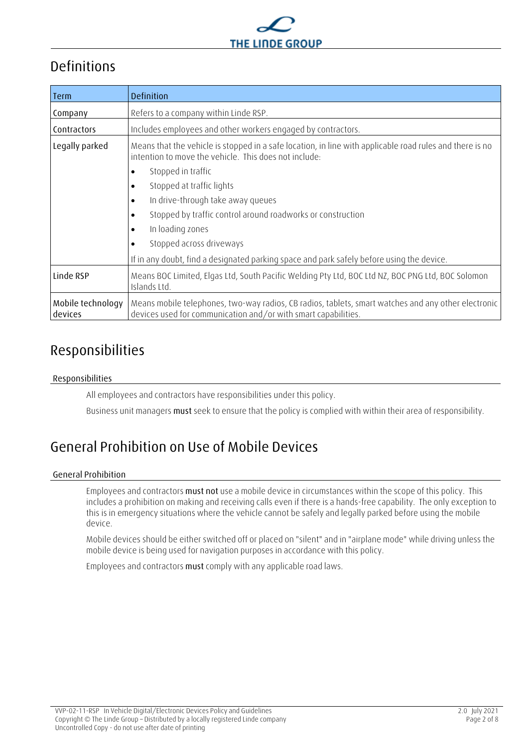

## <span id="page-1-0"></span>**Definitions**

| Term                         | Definition                                                                                                                                                            |  |  |  |  |
|------------------------------|-----------------------------------------------------------------------------------------------------------------------------------------------------------------------|--|--|--|--|
| Company                      | Refers to a company within Linde RSP.                                                                                                                                 |  |  |  |  |
| Contractors                  | Includes employees and other workers engaged by contractors.                                                                                                          |  |  |  |  |
| Legally parked               | Means that the vehicle is stopped in a safe location, in line with applicable road rules and there is no<br>intention to move the vehicle. This does not include:     |  |  |  |  |
|                              | Stopped in traffic                                                                                                                                                    |  |  |  |  |
|                              | Stopped at traffic lights                                                                                                                                             |  |  |  |  |
|                              | In drive-through take away queues                                                                                                                                     |  |  |  |  |
|                              | Stopped by traffic control around roadworks or construction                                                                                                           |  |  |  |  |
|                              | In loading zones                                                                                                                                                      |  |  |  |  |
|                              | Stopped across driveways                                                                                                                                              |  |  |  |  |
|                              | If in any doubt, find a designated parking space and park safely before using the device.                                                                             |  |  |  |  |
| Linde RSP                    | Means BOC Limited, Elgas Ltd, South Pacific Welding Pty Ltd, BOC Ltd NZ, BOC PNG Ltd, BOC Solomon<br>Islands Ltd.                                                     |  |  |  |  |
| Mobile technology<br>devices | Means mobile telephones, two-way radios, CB radios, tablets, smart watches and any other electronic<br>devices used for communication and/or with smart capabilities. |  |  |  |  |

# <span id="page-1-1"></span>**Responsibilities**

#### **Responsibilities**

All employees and contractors have responsibilities under this policy.

Business unit managers **must** seek to ensure that the policy is complied with within their area of responsibility.

# <span id="page-1-2"></span>**General Prohibition on Use of Mobile Devices**

#### **General Prohibition**

Employees and contractors **must not** use a mobile device in circumstances within the scope of this policy. This includes a prohibition on making and receiving calls even if there is a hands-free capability. The only exception to this is in emergency situations where the vehicle cannot be safely and legally parked before using the mobile device.

Mobile devices should be either switched off or placed on "silent" and in "airplane mode" while driving unless the mobile device is being used for navigation purposes in accordance with this policy.

Employees and contractors **must** comply with any applicable road laws.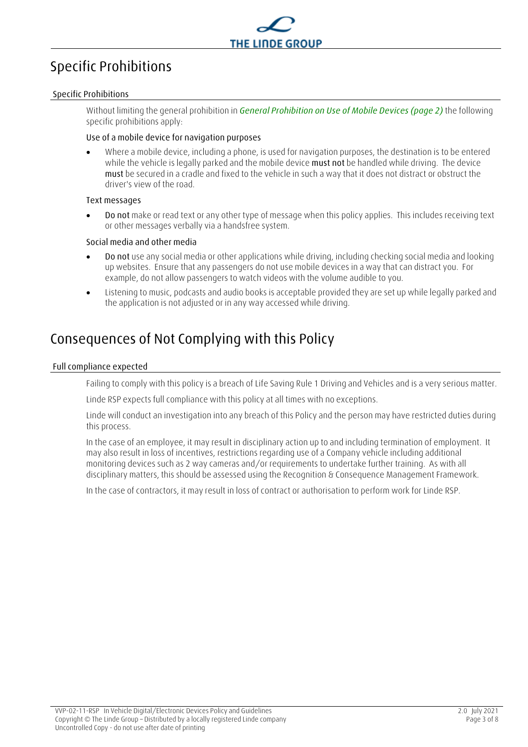

# <span id="page-2-0"></span>**Specific Prohibitions**

#### **Specific Prohibitions**

Without limiting the general prohibition in *[General Prohibition on Use of Mobile Devices](#page-1-2) (page [2\)](#page-1-2)* the following specific prohibitions apply:

#### **Use of a mobile device for navigation purposes**

 Where a mobile device, including a phone, is used for navigation purposes, the destination is to be entered while the vehicle is legally parked and the mobile device **must not** be handled while driving. The device **must** be secured in a cradle and fixed to the vehicle in such a way that it does not distract or obstruct the driver's view of the road.

#### **Text messages**

 **Do not** make or read text or any other type of message when this policy applies. This includes receiving text or other messages verbally via a handsfree system.

#### **Social media and other media**

- **Do not** use any social media or other applications while driving, including checking social media and looking up websites. Ensure that any passengers do not use mobile devices in a way that can distract you. For example, do not allow passengers to watch videos with the volume audible to you.
- Listening to music, podcasts and audio books is acceptable provided they are set up while legally parked and the application is not adjusted or in any way accessed while driving.

## <span id="page-2-1"></span>**Consequences of Not Complying with this Policy**

#### **Full compliance expected**

Failing to comply with this policy is a breach of Life Saving Rule 1 Driving and Vehicles and is a very serious matter.

Linde RSP expects full compliance with this policy at all times with no exceptions.

Linde will conduct an investigation into any breach of this Policy and the person may have restricted duties during this process.

In the case of an employee, it may result in disciplinary action up to and including termination of employment. It may also result in loss of incentives, restrictions regarding use of a Company vehicle including additional monitoring devices such as 2 way cameras and/or requirements to undertake further training. As with all disciplinary matters, this should be assessed using the Recognition & Consequence Management Framework.

<span id="page-2-2"></span>In the case of contractors, it may result in loss of contract or authorisation to perform work for Linde RSP.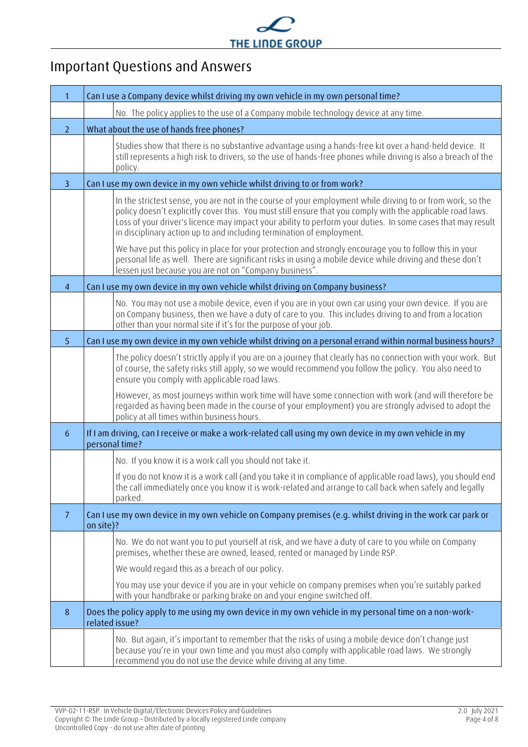

# **Important Questions and Answers**

|                | Can I use a Company device whilst driving my own vehicle in my own personal time?                                                                                                                                                                                                                                                                                                                                                                                                                                                                                                                                                                                                                 |  |  |  |
|----------------|---------------------------------------------------------------------------------------------------------------------------------------------------------------------------------------------------------------------------------------------------------------------------------------------------------------------------------------------------------------------------------------------------------------------------------------------------------------------------------------------------------------------------------------------------------------------------------------------------------------------------------------------------------------------------------------------------|--|--|--|
|                | No. The policy applies to the use of a Company mobile technology device at any time.                                                                                                                                                                                                                                                                                                                                                                                                                                                                                                                                                                                                              |  |  |  |
| $\overline{2}$ | What about the use of hands free phones?                                                                                                                                                                                                                                                                                                                                                                                                                                                                                                                                                                                                                                                          |  |  |  |
|                | Studies show that there is no substantive advantage using a hands-free kit over a hand-held device. It<br>still represents a high risk to drivers, so the use of hands-free phones while driving is also a breach of the<br>policy.                                                                                                                                                                                                                                                                                                                                                                                                                                                               |  |  |  |
| $\overline{3}$ | Can I use my own device in my own vehicle whilst driving to or from work?                                                                                                                                                                                                                                                                                                                                                                                                                                                                                                                                                                                                                         |  |  |  |
|                | In the strictest sense, you are not in the course of your employment while driving to or from work, so the<br>policy doesn't explicitly cover this. You must still ensure that you comply with the applicable road laws.<br>Loss of your driver's licence may impact your ability to perform your duties. In some cases that may result<br>in disciplinary action up to and including termination of employment.<br>We have put this policy in place for your protection and strongly encourage you to follow this in your<br>personal life as well. There are significant risks in using a mobile device while driving and these don't<br>lessen just because you are not on "Company business". |  |  |  |
| $\overline{4}$ | Can I use my own device in my own vehicle whilst driving on Company business?                                                                                                                                                                                                                                                                                                                                                                                                                                                                                                                                                                                                                     |  |  |  |
|                | No. You may not use a mobile device, even if you are in your own car using your own device. If you are<br>on Company business, then we have a duty of care to you. This includes driving to and from a location<br>other than your normal site if it's for the purpose of your job.                                                                                                                                                                                                                                                                                                                                                                                                               |  |  |  |
| 5              | Can I use my own device in my own vehicle whilst driving on a personal errand within normal business hours?                                                                                                                                                                                                                                                                                                                                                                                                                                                                                                                                                                                       |  |  |  |
|                | The policy doesn't strictly apply if you are on a journey that clearly has no connection with your work. But<br>of course, the safety risks still apply, so we would recommend you follow the policy. You also need to<br>ensure you comply with applicable road laws.<br>However, as most journeys within work time will have some connection with work (and will therefore be<br>regarded as having been made in the course of your employment) you are strongly advised to adopt the<br>policy at all times within business hours.                                                                                                                                                             |  |  |  |
| 6              | If I am driving, can I receive or make a work-related call using my own device in my own vehicle in my<br>personal time?                                                                                                                                                                                                                                                                                                                                                                                                                                                                                                                                                                          |  |  |  |
|                | No. If you know it is a work call you should not take it.<br>If you do not know it is a work call (and you take it in compliance of applicable road laws), you should end<br>the call immediately once you know it is work-related and arrange to call back when safely and legally<br>parked.                                                                                                                                                                                                                                                                                                                                                                                                    |  |  |  |
| 7              | Can I use my own device in my own vehicle on Company premises (e.g. whilst driving in the work car park or<br>on site)?                                                                                                                                                                                                                                                                                                                                                                                                                                                                                                                                                                           |  |  |  |
|                | No. We do not want you to put yourself at risk, and we have a duty of care to you while on Company<br>premises, whether these are owned, leased, rented or managed by Linde RSP.<br>We would regard this as a breach of our policy.<br>You may use your device if you are in your vehicle on company premises when you're suitably parked<br>with your handbrake or parking brake on and your engine switched off.                                                                                                                                                                                                                                                                                |  |  |  |
| 8              | Does the policy apply to me using my own device in my own vehicle in my personal time on a non-work-<br>related issue?                                                                                                                                                                                                                                                                                                                                                                                                                                                                                                                                                                            |  |  |  |
|                | No. But again, it's important to remember that the risks of using a mobile device don't change just<br>because you're in your own time and you must also comply with applicable road laws. We strongly<br>recommend you do not use the device while driving at any time.                                                                                                                                                                                                                                                                                                                                                                                                                          |  |  |  |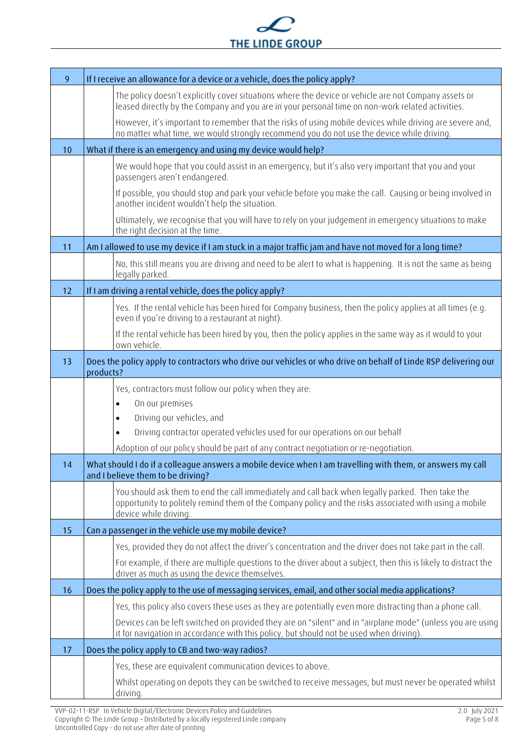

| 9  | If I receive an allowance for a device or a vehicle, does the policy apply?                                                                                                                                                         |  |  |  |
|----|-------------------------------------------------------------------------------------------------------------------------------------------------------------------------------------------------------------------------------------|--|--|--|
|    | The policy doesn't explicitly cover situations where the device or vehicle are not Company assets or<br>leased directly by the Company and you are in your personal time on non-work related activities.                            |  |  |  |
|    | However, it's important to remember that the risks of using mobile devices while driving are severe and,<br>no matter what time, we would strongly recommend you do not use the device while driving.                               |  |  |  |
| 10 | What if there is an emergency and using my device would help?                                                                                                                                                                       |  |  |  |
|    | We would hope that you could assist in an emergency, but it's also very important that you and your<br>passengers aren't endangered.                                                                                                |  |  |  |
|    | If possible, you should stop and park your vehicle before you make the call. Causing or being involved in<br>another incident wouldn't help the situation.                                                                          |  |  |  |
|    | Ultimately, we recognise that you will have to rely on your judgement in emergency situations to make<br>the right decision at the time.                                                                                            |  |  |  |
| 11 | Am I allowed to use my device if I am stuck in a major traffic jam and have not moved for a long time?                                                                                                                              |  |  |  |
|    | No, this still means you are driving and need to be alert to what is happening. It is not the same as being<br>legally parked.                                                                                                      |  |  |  |
| 12 | If I am driving a rental vehicle, does the policy apply?                                                                                                                                                                            |  |  |  |
|    | Yes. If the rental vehicle has been hired for Company business, then the policy applies at all times (e.g.<br>even if you're driving to a restaurant at night).                                                                     |  |  |  |
|    | If the rental vehicle has been hired by you, then the policy applies in the same way as it would to your<br>own vehicle.                                                                                                            |  |  |  |
| 13 | Does the policy apply to contractors who drive our vehicles or who drive on behalf of Linde RSP delivering our<br>products?                                                                                                         |  |  |  |
|    | Yes, contractors must follow our policy when they are:                                                                                                                                                                              |  |  |  |
|    | On our premises<br>$\bullet$                                                                                                                                                                                                        |  |  |  |
|    | Driving our vehicles, and<br>$\bullet$                                                                                                                                                                                              |  |  |  |
|    | Driving contractor operated vehicles used for our operations on our behalf<br>$\bullet$                                                                                                                                             |  |  |  |
| 14 | Adoption of our policy should be part of any contract negotiation or re-negotiation.<br>What should I do if a colleague answers a mobile device when I am travelling with them, or answers my call                                  |  |  |  |
|    | and I believe them to be driving?                                                                                                                                                                                                   |  |  |  |
|    | You should ask them to end the call immediately and call back when legally parked. Then take the<br>opportunity to politely remind them of the Company policy and the risks associated with using a mobile<br>device while driving. |  |  |  |
| 15 | Can a passenger in the vehicle use my mobile device?                                                                                                                                                                                |  |  |  |
|    | Yes, provided they do not affect the driver's concentration and the driver does not take part in the call.                                                                                                                          |  |  |  |
|    | For example, if there are multiple questions to the driver about a subject, then this is likely to distract the<br>driver as much as using the device themselves.                                                                   |  |  |  |
| 16 | Does the policy apply to the use of messaging services, email, and other social media applications?                                                                                                                                 |  |  |  |
|    | Yes, this policy also covers these uses as they are potentially even more distracting than a phone call.                                                                                                                            |  |  |  |
|    | Devices can be left switched on provided they are on "silent" and in "airplane mode" (unless you are using<br>it for navigation in accordance with this policy, but should not be used when driving).                               |  |  |  |
| 17 | Does the policy apply to CB and two-way radios?                                                                                                                                                                                     |  |  |  |
|    | Yes, these are equivalent communication devices to above.                                                                                                                                                                           |  |  |  |
|    | Whilst operating on depots they can be switched to receive messages, but must never be operated whilst<br>driving.                                                                                                                  |  |  |  |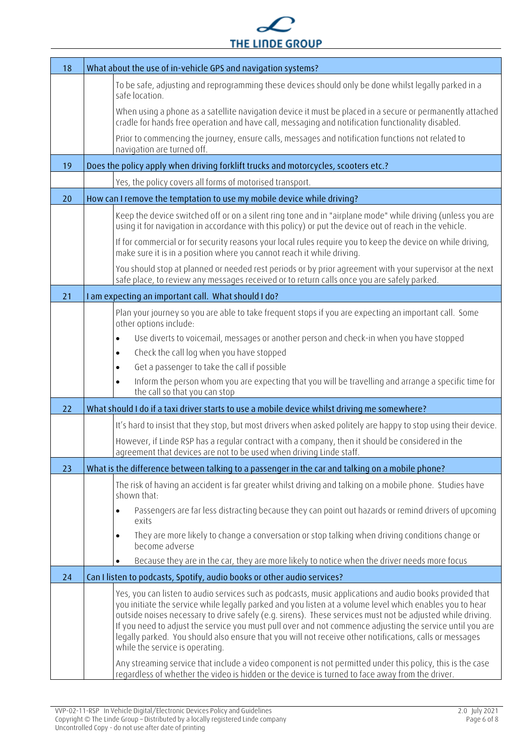

| 18 | What about the use of in-vehicle GPS and navigation systems?                                                                                                                                                                                                                                                                                                                                                                                                                                                                                                                                  |  |  |  |
|----|-----------------------------------------------------------------------------------------------------------------------------------------------------------------------------------------------------------------------------------------------------------------------------------------------------------------------------------------------------------------------------------------------------------------------------------------------------------------------------------------------------------------------------------------------------------------------------------------------|--|--|--|
|    | To be safe, adjusting and reprogramming these devices should only be done whilst legally parked in a<br>safe location.                                                                                                                                                                                                                                                                                                                                                                                                                                                                        |  |  |  |
|    | When using a phone as a satellite navigation device it must be placed in a secure or permanently attached<br>cradle for hands free operation and have call, messaging and notification functionality disabled.                                                                                                                                                                                                                                                                                                                                                                                |  |  |  |
|    | Prior to commencing the journey, ensure calls, messages and notification functions not related to<br>navigation are turned off.                                                                                                                                                                                                                                                                                                                                                                                                                                                               |  |  |  |
| 19 | Does the policy apply when driving forklift trucks and motorcycles, scooters etc.?                                                                                                                                                                                                                                                                                                                                                                                                                                                                                                            |  |  |  |
|    | Yes, the policy covers all forms of motorised transport.                                                                                                                                                                                                                                                                                                                                                                                                                                                                                                                                      |  |  |  |
| 20 | How can I remove the temptation to use my mobile device while driving?                                                                                                                                                                                                                                                                                                                                                                                                                                                                                                                        |  |  |  |
|    | Keep the device switched off or on a silent ring tone and in "airplane mode" while driving (unless you are<br>using it for navigation in accordance with this policy) or put the device out of reach in the vehicle.                                                                                                                                                                                                                                                                                                                                                                          |  |  |  |
|    | If for commercial or for security reasons your local rules require you to keep the device on while driving,<br>make sure it is in a position where you cannot reach it while driving.                                                                                                                                                                                                                                                                                                                                                                                                         |  |  |  |
|    | You should stop at planned or needed rest periods or by prior agreement with your supervisor at the next<br>safe place, to review any messages received or to return calls once you are safely parked.                                                                                                                                                                                                                                                                                                                                                                                        |  |  |  |
| 21 | I am expecting an important call. What should I do?                                                                                                                                                                                                                                                                                                                                                                                                                                                                                                                                           |  |  |  |
|    | Plan your journey so you are able to take frequent stops if you are expecting an important call. Some<br>other options include:                                                                                                                                                                                                                                                                                                                                                                                                                                                               |  |  |  |
|    | Use diverts to voicemail, messages or another person and check-in when you have stopped<br>$\bullet$                                                                                                                                                                                                                                                                                                                                                                                                                                                                                          |  |  |  |
|    | Check the call log when you have stopped<br>$\bullet$                                                                                                                                                                                                                                                                                                                                                                                                                                                                                                                                         |  |  |  |
|    | Get a passenger to take the call if possible<br>$\bullet$                                                                                                                                                                                                                                                                                                                                                                                                                                                                                                                                     |  |  |  |
|    | Inform the person whom you are expecting that you will be travelling and arrange a specific time for<br>$\bullet$<br>the call so that you can stop                                                                                                                                                                                                                                                                                                                                                                                                                                            |  |  |  |
| 22 | What should I do if a taxi driver starts to use a mobile device whilst driving me somewhere?                                                                                                                                                                                                                                                                                                                                                                                                                                                                                                  |  |  |  |
|    | It's hard to insist that they stop, but most drivers when asked politely are happy to stop using their device.                                                                                                                                                                                                                                                                                                                                                                                                                                                                                |  |  |  |
|    | However, if Linde RSP has a regular contract with a company, then it should be considered in the<br>agreement that devices are not to be used when driving Linde staff.                                                                                                                                                                                                                                                                                                                                                                                                                       |  |  |  |
| 23 | What is the difference between talking to a passenger in the car and talking on a mobile phone?                                                                                                                                                                                                                                                                                                                                                                                                                                                                                               |  |  |  |
|    | The risk of having an accident is far greater whilst driving and talking on a mobile phone. Studies have<br>shown that:                                                                                                                                                                                                                                                                                                                                                                                                                                                                       |  |  |  |
|    | Passengers are far less distracting because they can point out hazards or remind drivers of upcoming<br>$\bullet$<br>exits                                                                                                                                                                                                                                                                                                                                                                                                                                                                    |  |  |  |
|    | They are more likely to change a conversation or stop talking when driving conditions change or<br>$\bullet$<br>become adverse                                                                                                                                                                                                                                                                                                                                                                                                                                                                |  |  |  |
|    | Because they are in the car, they are more likely to notice when the driver needs more focus                                                                                                                                                                                                                                                                                                                                                                                                                                                                                                  |  |  |  |
| 24 | Can I listen to podcasts, Spotify, audio books or other audio services?                                                                                                                                                                                                                                                                                                                                                                                                                                                                                                                       |  |  |  |
|    | Yes, you can listen to audio services such as podcasts, music applications and audio books provided that<br>you initiate the service while legally parked and you listen at a volume level which enables you to hear<br>outside noises necessary to drive safely (e.g. sirens). These services must not be adjusted while driving.<br>If you need to adjust the service you must pull over and not commence adjusting the service until you are<br>legally parked. You should also ensure that you will not receive other notifications, calls or messages<br>while the service is operating. |  |  |  |
|    | Any streaming service that include a video component is not permitted under this policy, this is the case<br>regardless of whether the video is hidden or the device is turned to face away from the driver.                                                                                                                                                                                                                                                                                                                                                                                  |  |  |  |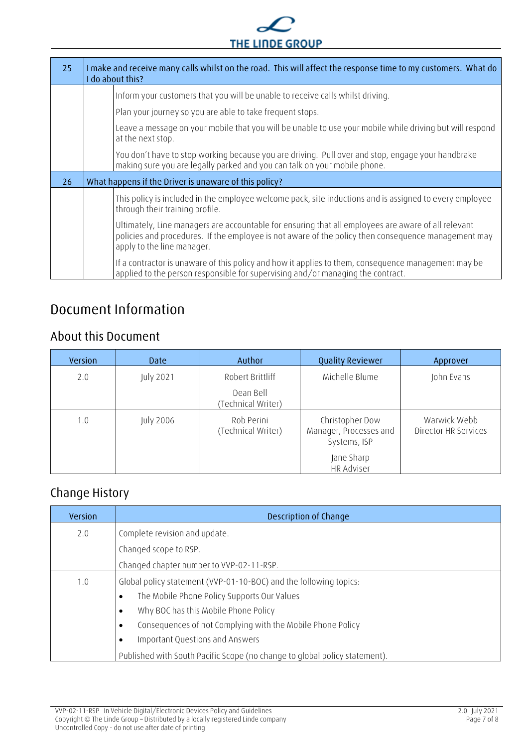

| 25 | I make and receive many calls whilst on the road. This will affect the response time to my customers. What do<br>I do about this?                                                                                                        |
|----|------------------------------------------------------------------------------------------------------------------------------------------------------------------------------------------------------------------------------------------|
|    | Inform your customers that you will be unable to receive calls whilst driving.                                                                                                                                                           |
|    | Plan your journey so you are able to take frequent stops.                                                                                                                                                                                |
|    | Leave a message on your mobile that you will be unable to use your mobile while driving but will respond<br>at the next stop.                                                                                                            |
|    | You don't have to stop working because you are driving. Pull over and stop, engage your handbrake<br>making sure you are legally parked and you can talk on your mobile phone.                                                           |
| 26 | What happens if the Driver is unaware of this policy?                                                                                                                                                                                    |
|    | This policy is included in the employee welcome pack, site inductions and is assigned to every employee<br>through their training profile.                                                                                               |
|    | Ultimately, Line managers are accountable for ensuring that all employees are aware of all relevant<br>policies and procedures. If the employee is not aware of the policy then consequence management may<br>apply to the line manager. |
|    | If a contractor is unaware of this policy and how it applies to them, consequence management may be<br>applied to the person responsible for supervising and/or managing the contract.                                                   |

# <span id="page-6-0"></span>**Document Information**

### <span id="page-6-1"></span>**About this Document**

| Version | Date             | Author                           | <b>Quality Reviewer</b>                                   | Approver                                    |
|---------|------------------|----------------------------------|-----------------------------------------------------------|---------------------------------------------|
| 2.0     | July 2021        | Robert Brittliff                 | Michelle Blume                                            | John Evans                                  |
|         |                  | Dean Bell<br>(Technical Writer)  |                                                           |                                             |
| 1.0     | <b>July 2006</b> | Rob Perini<br>(Technical Writer) | Christopher Dow<br>Manager, Processes and<br>Systems, ISP | Warwick Webb<br><b>Director HR Services</b> |
|         |                  |                                  | Jane Sharp<br><b>HR Adviser</b>                           |                                             |

### <span id="page-6-2"></span>**Change History**

| Version | Description of Change                                                      |  |  |  |  |
|---------|----------------------------------------------------------------------------|--|--|--|--|
| 2.0     | Complete revision and update.                                              |  |  |  |  |
|         | Changed scope to RSP.                                                      |  |  |  |  |
|         | Changed chapter number to VVP-02-11-RSP.                                   |  |  |  |  |
| 1.0     | Global policy statement (VVP-01-10-BOC) and the following topics:          |  |  |  |  |
|         | The Mobile Phone Policy Supports Our Values<br>$\bullet$                   |  |  |  |  |
|         | Why BOC has this Mobile Phone Policy<br>$\bullet$                          |  |  |  |  |
|         | Consequences of not Complying with the Mobile Phone Policy<br>$\bullet$    |  |  |  |  |
|         | Important Questions and Answers<br>$\bullet$                               |  |  |  |  |
|         | Published with South Pacific Scope (no change to global policy statement). |  |  |  |  |